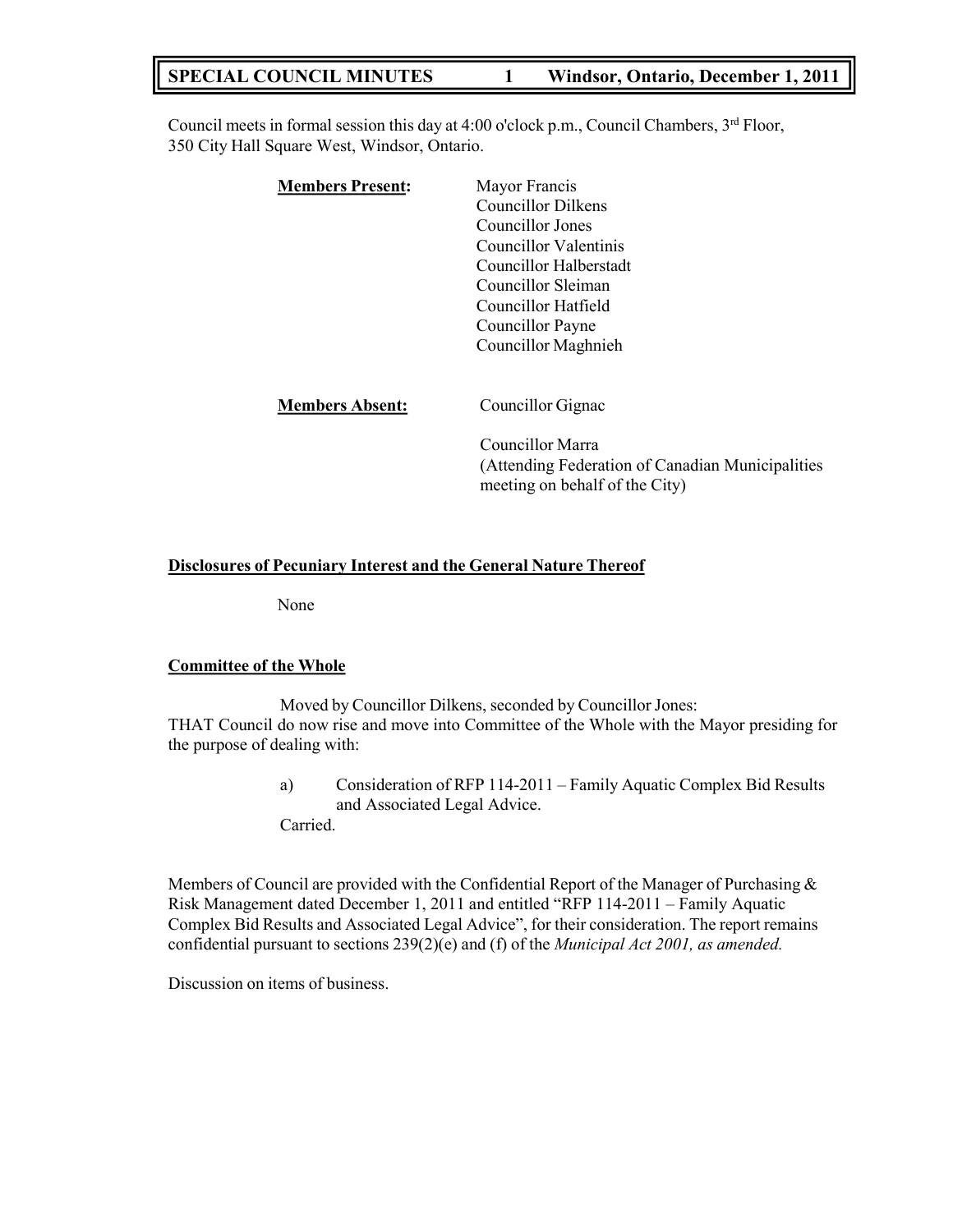# **SPECIAL COUNCIL MINUTES 1 Windsor, Ontario, December 1, 2011**

Council meets in formal session this day at 4:00 o'clock p.m., Council Chambers, 3<sup>rd</sup> Floor, 350 City Hall Square West, Windsor, Ontario.

| <b>Members Present:</b> | Mayor Francis                                    |
|-------------------------|--------------------------------------------------|
|                         | <b>Councillor Dilkens</b>                        |
|                         | Councillor Jones                                 |
|                         | <b>Councillor Valentinis</b>                     |
|                         | Councillor Halberstadt                           |
|                         | Councillor Sleiman                               |
|                         | Councillor Hatfield                              |
|                         | Councillor Payne                                 |
|                         | Councillor Maghnieh                              |
| <b>Members Absent:</b>  | Councillor Gignac                                |
|                         | Councillor Marra                                 |
|                         | (Attending Federation of Canadian Municipalities |
|                         | meeting on behalf of the City)                   |

### **Disclosures of Pecuniary Interest and the General Nature Thereof**

None

#### **Committee of the Whole**

Moved by Councillor Dilkens, seconded by Councillor Jones: THAT Council do now rise and move into Committee of the Whole with the Mayor presiding for the purpose of dealing with:

> a) Consideration of RFP 114-2011 – Family Aquatic Complex Bid Results and Associated Legal Advice. Carried.

Members of Council are provided with the Confidential Report of the Manager of Purchasing & Risk Management dated December 1, 2011 and entitled "RFP 114-2011 – Family Aquatic Complex Bid Results and Associated Legal Advice", for their consideration. The report remains confidential pursuant to sections 239(2)(e) and (f) of the *Municipal Act 2001, as amended.*

Discussion on items of business.